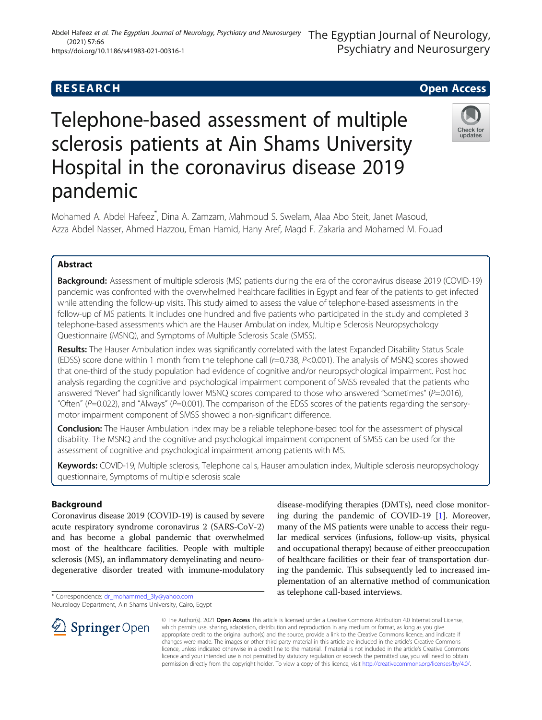#### Abdel Hafeez et al. The Egyptian Journal of Neurology, Psychiatry and Neurosurgery The Egyptian Journal of Neurology, Psychiatry and Neurosurgery (2021) 57:66 https://doi.org/10.1186/s41983-021-00316-1

# **RESEARCH CHE Open Access**

# Telephone-based assessment of multiple sclerosis patients at Ain Shams University Hospital in the coronavirus disease 2019 pandemic



Mohamed A. Abdel Hafeez\* , Dina A. Zamzam, Mahmoud S. Swelam, Alaa Abo Steit, Janet Masoud, Azza Abdel Nasser, Ahmed Hazzou, Eman Hamid, Hany Aref, Magd F. Zakaria and Mohamed M. Fouad

# Abstract

**Background:** Assessment of multiple sclerosis (MS) patients during the era of the coronavirus disease 2019 (COVID-19) pandemic was confronted with the overwhelmed healthcare facilities in Egypt and fear of the patients to get infected while attending the follow-up visits. This study aimed to assess the value of telephone-based assessments in the follow-up of MS patients. It includes one hundred and five patients who participated in the study and completed 3 telephone-based assessments which are the Hauser Ambulation index, Multiple Sclerosis Neuropsychology Questionnaire (MSNQ), and Symptoms of Multiple Sclerosis Scale (SMSS).

Results: The Hauser Ambulation index was significantly correlated with the latest Expanded Disability Status Scale (EDSS) score done within 1 month from the telephone call (r=0.738, P<0.001). The analysis of MSNQ scores showed that one-third of the study population had evidence of cognitive and/or neuropsychological impairment. Post hoc analysis regarding the cognitive and psychological impairment component of SMSS revealed that the patients who answered "Never" had significantly lower MSNQ scores compared to those who answered "Sometimes" ( $P=0.016$ ), "Often" ( $P=0.022$ ), and "Always" ( $P=0.001$ ). The comparison of the EDSS scores of the patients regarding the sensorymotor impairment component of SMSS showed a non-significant difference.

Conclusion: The Hauser Ambulation index may be a reliable telephone-based tool for the assessment of physical disability. The MSNQ and the cognitive and psychological impairment component of SMSS can be used for the assessment of cognitive and psychological impairment among patients with MS.

Keywords: COVID-19, Multiple sclerosis, Telephone calls, Hauser ambulation index, Multiple sclerosis neuropsychology questionnaire, Symptoms of multiple sclerosis scale

# Background

Coronavirus disease 2019 (COVID-19) is caused by severe acute respiratory syndrome coronavirus 2 (SARS-CoV-2) and has become a global pandemic that overwhelmed most of the healthcare facilities. People with multiple sclerosis (MS), an inflammatory demyelinating and neurodegenerative disorder treated with immune-modulatory

\* Correspondence: [dr\\_mohammed\\_3ly@yahoo.com](mailto:dr_mohammed_3ly@yahoo.com) Neurology Department, Ain Shams University, Cairo, Egypt disease-modifying therapies (DMTs), need close monitoring during the pandemic of COVID-19 [[1\]](#page-6-0). Moreover, many of the MS patients were unable to access their regular medical services (infusions, follow-up visits, physical and occupational therapy) because of either preoccupation of healthcare facilities or their fear of transportation during the pandemic. This subsequently led to increased implementation of an alternative method of communication as telephone call-based interviews.



© The Author(s). 2021 Open Access This article is licensed under a Creative Commons Attribution 4.0 International License, which permits use, sharing, adaptation, distribution and reproduction in any medium or format, as long as you give appropriate credit to the original author(s) and the source, provide a link to the Creative Commons licence, and indicate if changes were made. The images or other third party material in this article are included in the article's Creative Commons licence, unless indicated otherwise in a credit line to the material. If material is not included in the article's Creative Commons licence and your intended use is not permitted by statutory regulation or exceeds the permitted use, you will need to obtain permission directly from the copyright holder. To view a copy of this licence, visit <http://creativecommons.org/licenses/by/4.0/>.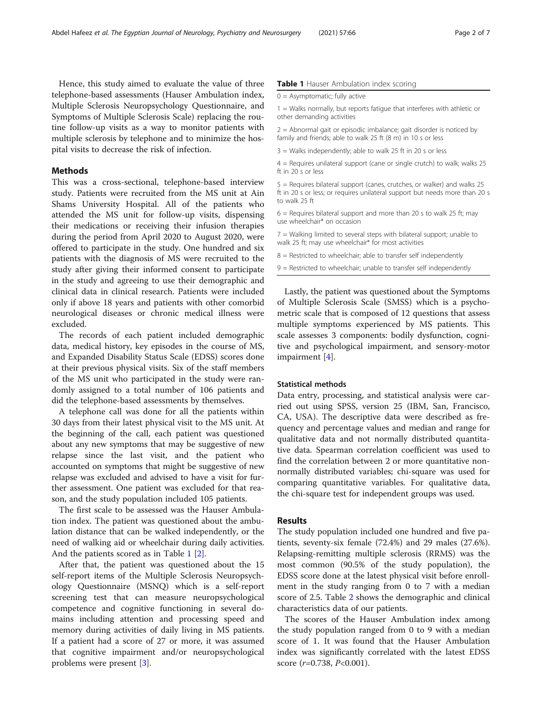Hence, this study aimed to evaluate the value of three telephone-based assessments (Hauser Ambulation index, Multiple Sclerosis Neuropsychology Questionnaire, and Symptoms of Multiple Sclerosis Scale) replacing the routine follow-up visits as a way to monitor patients with multiple sclerosis by telephone and to minimize the hospital visits to decrease the risk of infection.

# **Methods**

This was a cross-sectional, telephone-based interview study. Patients were recruited from the MS unit at Ain Shams University Hospital. All of the patients who attended the MS unit for follow-up visits, dispensing their medications or receiving their infusion therapies during the period from April 2020 to August 2020, were offered to participate in the study. One hundred and six patients with the diagnosis of MS were recruited to the study after giving their informed consent to participate in the study and agreeing to use their demographic and clinical data in clinical research. Patients were included only if above 18 years and patients with other comorbid neurological diseases or chronic medical illness were excluded.

The records of each patient included demographic data, medical history, key episodes in the course of MS, and Expanded Disability Status Scale (EDSS) scores done at their previous physical visits. Six of the staff members of the MS unit who participated in the study were randomly assigned to a total number of 106 patients and did the telephone-based assessments by themselves.

A telephone call was done for all the patients within 30 days from their latest physical visit to the MS unit. At the beginning of the call, each patient was questioned about any new symptoms that may be suggestive of new relapse since the last visit, and the patient who accounted on symptoms that might be suggestive of new relapse was excluded and advised to have a visit for further assessment. One patient was excluded for that reason, and the study population included 105 patients.

The first scale to be assessed was the Hauser Ambulation index. The patient was questioned about the ambulation distance that can be walked independently, or the need of walking aid or wheelchair during daily activities. And the patients scored as in Table 1 [[2\]](#page-6-0).

After that, the patient was questioned about the 15 self-report items of the Multiple Sclerosis Neuropsychology Questionnaire (MSNQ) which is a self-report screening test that can measure neuropsychological competence and cognitive functioning in several domains including attention and processing speed and memory during activities of daily living in MS patients. If a patient had a score of 27 or more, it was assumed that cognitive impairment and/or neuropsychological problems were present [\[3](#page-6-0)].

## Table 1 Hauser Ambulation index scoring

1 = Walks normally, but reports fatigue that interferes with athletic or other demanding activities

2 = Abnormal gait or episodic imbalance; gait disorder is noticed by family and friends; able to walk 25 ft (8 m) in 10 s or less

3 = Walks independently; able to walk 25 ft in 20 s or less

 $4$  = Requires unilateral support (cane or single crutch) to walk; walks 25 ft in 20 s or less

5 = Requires bilateral support (canes, crutches, or walker) and walks 25 ft in 20 s or less; or requires unilateral support but needs more than 20 s to walk 25 ft

 $6$  = Requires bilateral support and more than 20 s to walk 25 ft; may use wheelchair\* on occasion

7 = Walking limited to several steps with bilateral support; unable to walk 25 ft; may use wheelchair\* for most activities

 $8$  = Restricted to wheelchair; able to transfer self independently

9 = Restricted to wheelchair; unable to transfer self independently

Lastly, the patient was questioned about the Symptoms of Multiple Sclerosis Scale (SMSS) which is a psychometric scale that is composed of 12 questions that assess multiple symptoms experienced by MS patients. This scale assesses 3 components: bodily dysfunction, cognitive and psychological impairment, and sensory-motor impairment [[4\]](#page-6-0).

# Statistical methods

Data entry, processing, and statistical analysis were carried out using SPSS, version 25 (IBM, San, Francisco, CA, USA). The descriptive data were described as frequency and percentage values and median and range for qualitative data and not normally distributed quantitative data. Spearman correlation coefficient was used to find the correlation between 2 or more quantitative nonnormally distributed variables; chi-square was used for comparing quantitative variables. For qualitative data, the chi-square test for independent groups was used.

# Results

The study population included one hundred and five patients, seventy-six female (72.4%) and 29 males (27.6%). Relapsing-remitting multiple sclerosis (RRMS) was the most common (90.5% of the study population), the EDSS score done at the latest physical visit before enrollment in the study ranging from 0 to 7 with a median score of 2.5. Table [2](#page-2-0) shows the demographic and clinical characteristics data of our patients.

The scores of the Hauser Ambulation index among the study population ranged from 0 to 9 with a median score of 1. It was found that the Hauser Ambulation index was significantly correlated with the latest EDSS score  $(r=0.738, P<0.001)$ .

 $0 =$  Asymptomatic: fully active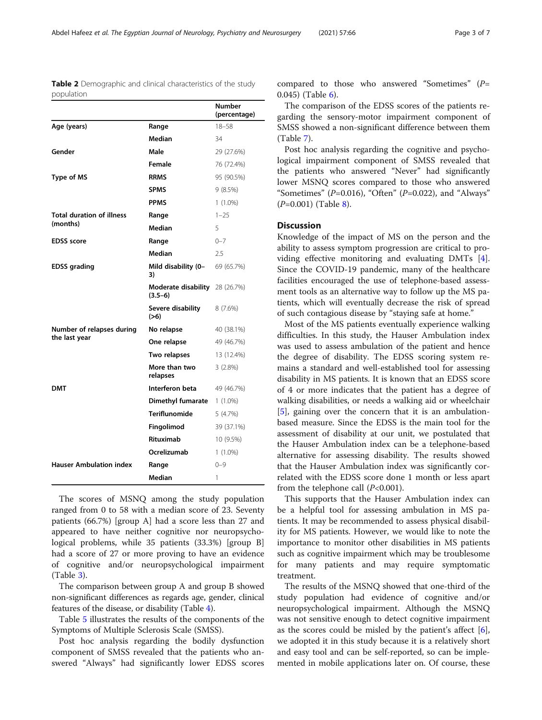<span id="page-2-0"></span>Table 2 Demographic and clinical characteristics of the study population

|                                  |                                             | Number<br>(percentage) |
|----------------------------------|---------------------------------------------|------------------------|
| Age (years)                      | Range                                       | $18 - 58$              |
|                                  | Median                                      | 34                     |
| Gender                           | Male                                        | 29 (27.6%)             |
|                                  | Female                                      | 76 (72.4%)             |
| <b>Type of MS</b>                | <b>RRMS</b>                                 | 95 (90.5%)             |
|                                  | <b>SPMS</b>                                 | 9(8.5%)                |
|                                  | <b>PPMS</b>                                 | $1(1.0\%)$             |
| <b>Total duration of illness</b> | Range                                       | $1 - 25$               |
| (months)                         | Median                                      | 5                      |
| <b>EDSS</b> score                | Range                                       | $0 - 7$                |
|                                  | Median                                      | 2.5                    |
| <b>EDSS</b> grading              | Mild disability (0-<br>3)                   | 69 (65.7%)             |
|                                  | Moderate disability 28 (26.7%)<br>$(3.5-6)$ |                        |
|                                  | Severe disability<br>(>6)                   | 8(7.6%)                |
| Number of relapses during        | No relapse                                  | 40 (38.1%)             |
| the last year                    | One relapse                                 | 49 (46.7%)             |
|                                  | Two relapses                                | 13 (12.4%)             |
|                                  | More than two<br>relapses                   | $3(2.8\%)$             |
| DMT                              | Interferon beta                             | 49 (46.7%)             |
|                                  | Dimethyl fumarate                           | $1(1.0\%)$             |
|                                  | Teriflunomide                               | 5(4.7%)                |
|                                  | Fingolimod                                  | 39 (37.1%)             |
|                                  | <b>Rituximab</b>                            | 10 (9.5%)              |
|                                  | Ocrelizumab                                 | $1(1.0\%)$             |
| <b>Hauser Ambulation index</b>   | Range                                       | $0 - 9$                |
|                                  | Median                                      | 1                      |

The scores of MSNQ among the study population ranged from 0 to 58 with a median score of 23. Seventy patients (66.7%) [group A] had a score less than 27 and appeared to have neither cognitive nor neuropsychological problems, while 35 patients (33.3%) [group B] had a score of 27 or more proving to have an evidence of cognitive and/or neuropsychological impairment (Table [3\)](#page-3-0).

The comparison between group A and group B showed non-significant differences as regards age, gender, clinical features of the disease, or disability (Table [4](#page-4-0)).

Table [5](#page-4-0) illustrates the results of the components of the Symptoms of Multiple Sclerosis Scale (SMSS).

Post hoc analysis regarding the bodily dysfunction component of SMSS revealed that the patients who answered "Always" had significantly lower EDSS scores compared to those who answered "Sometimes" (P= 0.045) (Table [6\)](#page-5-0).

The comparison of the EDSS scores of the patients regarding the sensory-motor impairment component of SMSS showed a non-significant difference between them (Table [7\)](#page-5-0).

Post hoc analysis regarding the cognitive and psychological impairment component of SMSS revealed that the patients who answered "Never" had significantly lower MSNQ scores compared to those who answered "Sometimes" ( $P=0.016$ ), "Often" ( $P=0.022$ ), and "Always" (P=0.001) (Table [8](#page-5-0)).

# **Discussion**

Knowledge of the impact of MS on the person and the ability to assess symptom progression are critical to providing effective monitoring and evaluating DMTs [\[4](#page-6-0)]. Since the COVID-19 pandemic, many of the healthcare facilities encouraged the use of telephone-based assessment tools as an alternative way to follow up the MS patients, which will eventually decrease the risk of spread of such contagious disease by "staying safe at home."

Most of the MS patients eventually experience walking difficulties. In this study, the Hauser Ambulation index was used to assess ambulation of the patient and hence the degree of disability. The EDSS scoring system remains a standard and well-established tool for assessing disability in MS patients. It is known that an EDSS score of 4 or more indicates that the patient has a degree of walking disabilities, or needs a walking aid or wheelchair [[5\]](#page-6-0), gaining over the concern that it is an ambulationbased measure. Since the EDSS is the main tool for the assessment of disability at our unit, we postulated that the Hauser Ambulation index can be a telephone-based alternative for assessing disability. The results showed that the Hauser Ambulation index was significantly correlated with the EDSS score done 1 month or less apart from the telephone call  $(P<0.001)$ .

This supports that the Hauser Ambulation index can be a helpful tool for assessing ambulation in MS patients. It may be recommended to assess physical disability for MS patients. However, we would like to note the importance to monitor other disabilities in MS patients such as cognitive impairment which may be troublesome for many patients and may require symptomatic treatment.

The results of the MSNQ showed that one-third of the study population had evidence of cognitive and/or neuropsychological impairment. Although the MSNQ was not sensitive enough to detect cognitive impairment as the scores could be misled by the patient's affect  $[6]$  $[6]$ , we adopted it in this study because it is a relatively short and easy tool and can be self-reported, so can be implemented in mobile applications later on. Of course, these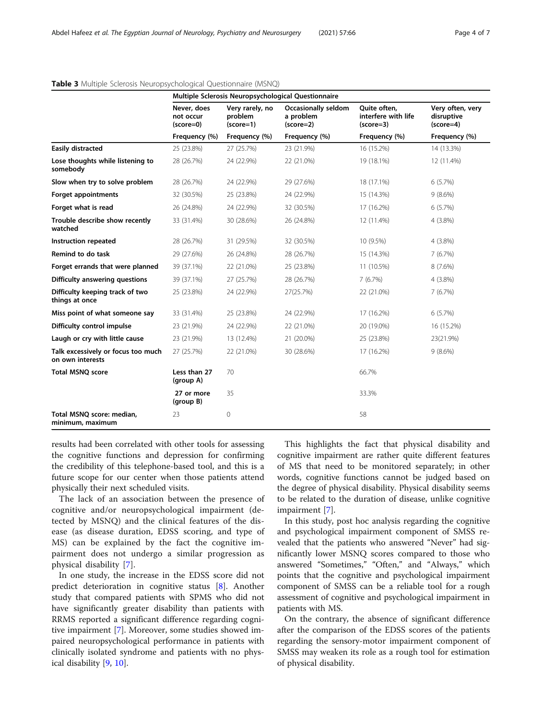|                                                        | Multiple Sclerosis Neuropsychological Questionnaire |                                           |                                                        |                                                    |                                               |  |
|--------------------------------------------------------|-----------------------------------------------------|-------------------------------------------|--------------------------------------------------------|----------------------------------------------------|-----------------------------------------------|--|
|                                                        | Never, does<br>not occur<br>(score=0)               | Very rarely, no<br>problem<br>$(score=1)$ | <b>Occasionally seldom</b><br>a problem<br>$(score=2)$ | Quite often,<br>interfere with life<br>$(score=3)$ | Very often, very<br>disruptive<br>$(score=4)$ |  |
|                                                        | Frequency (%)                                       | Frequency (%)                             | Frequency (%)                                          | Frequency (%)                                      | Frequency (%)                                 |  |
| <b>Easily distracted</b>                               | 25 (23.8%)                                          | 27 (25.7%)                                | 23 (21.9%)                                             | 16 (15.2%)                                         | 14 (13.3%)                                    |  |
| Lose thoughts while listening to<br>somebody           | 28 (26.7%)                                          | 24 (22.9%)                                | 22 (21.0%)                                             | 19 (18.1%)                                         | 12 (11.4%)                                    |  |
| Slow when try to solve problem                         | 28 (26.7%)                                          | 24 (22.9%)                                | 29 (27.6%)                                             | 18 (17.1%)                                         | 6(5.7%)                                       |  |
| <b>Forget appointments</b>                             | 32 (30.5%)                                          | 25 (23.8%)                                | 24 (22.9%)                                             | 15 (14.3%)                                         | $9(8.6\%)$                                    |  |
| Forget what is read                                    | 26 (24.8%)                                          | 24 (22.9%)                                | 32 (30.5%)                                             | 17 (16.2%)                                         | 6(5.7%)                                       |  |
| Trouble describe show recently<br>watched              | 33 (31.4%)                                          | 30 (28.6%)                                | 26 (24.8%)                                             | 12 (11.4%)                                         | $4(3.8\%)$                                    |  |
| Instruction repeated                                   | 28 (26.7%)                                          | 31 (29.5%)                                | 32 (30.5%)                                             | 10 (9.5%)                                          | $4(3.8\%)$                                    |  |
| Remind to do task                                      | 29 (27.6%)                                          | 26 (24.8%)                                | 28 (26.7%)                                             | 15 (14.3%)                                         | 7(6.7%)                                       |  |
| Forget errands that were planned                       | 39 (37.1%)                                          | 22 (21.0%)                                | 25 (23.8%)                                             | 11 (10.5%)                                         | 8 (7.6%)                                      |  |
| Difficulty answering questions                         | 39 (37.1%)                                          | 27 (25.7%)                                | 28 (26.7%)                                             | 7(6.7%)                                            | $4(3.8\%)$                                    |  |
| Difficulty keeping track of two<br>things at once      | 25 (23.8%)                                          | 24 (22.9%)                                | 27(25.7%)                                              | 22 (21.0%)                                         | 7(6.7%)                                       |  |
| Miss point of what someone say                         | 33 (31.4%)                                          | 25 (23.8%)                                | 24 (22.9%)                                             | 17 (16.2%)                                         | 6(5.7%)                                       |  |
| Difficulty control impulse                             | 23 (21.9%)                                          | 24 (22.9%)                                | 22 (21.0%)                                             | 20 (19.0%)                                         | 16 (15.2%)                                    |  |
| Laugh or cry with little cause                         | 23 (21.9%)                                          | 13 (12.4%)                                | 21 (20.0%)                                             | 25 (23.8%)                                         | 23(21.9%)                                     |  |
| Talk excessively or focus too much<br>on own interests | 27 (25.7%)                                          | 22 (21.0%)                                | 30 (28.6%)                                             | 17 (16.2%)                                         | $9(8.6\%)$                                    |  |
| <b>Total MSNQ score</b>                                | Less than 27<br>(group A)                           | 70                                        |                                                        | 66.7%                                              |                                               |  |
|                                                        | 27 or more<br>(group B)                             | 35                                        |                                                        | 33.3%                                              |                                               |  |
| Total MSNQ score: median,<br>minimum, maximum          | 23                                                  | $\mathbf 0$                               |                                                        | 58                                                 |                                               |  |

# <span id="page-3-0"></span>Table 3 Multiple Sclerosis Neuropsychological Questionnaire (MSNQ)

results had been correlated with other tools for assessing the cognitive functions and depression for confirming the credibility of this telephone-based tool, and this is a future scope for our center when those patients attend physically their next scheduled visits.

The lack of an association between the presence of cognitive and/or neuropsychological impairment (detected by MSNQ) and the clinical features of the disease (as disease duration, EDSS scoring, and type of MS) can be explained by the fact the cognitive impairment does not undergo a similar progression as physical disability [\[7](#page-6-0)].

In one study, the increase in the EDSS score did not predict deterioration in cognitive status [\[8](#page-6-0)]. Another study that compared patients with SPMS who did not have significantly greater disability than patients with RRMS reported a significant difference regarding cognitive impairment [\[7](#page-6-0)]. Moreover, some studies showed impaired neuropsychological performance in patients with clinically isolated syndrome and patients with no physical disability [[9,](#page-6-0) [10\]](#page-6-0).

This highlights the fact that physical disability and cognitive impairment are rather quite different features of MS that need to be monitored separately; in other words, cognitive functions cannot be judged based on the degree of physical disability. Physical disability seems to be related to the duration of disease, unlike cognitive impairment [[7\]](#page-6-0).

In this study, post hoc analysis regarding the cognitive and psychological impairment component of SMSS revealed that the patients who answered "Never" had significantly lower MSNQ scores compared to those who answered "Sometimes," "Often," and "Always," which points that the cognitive and psychological impairment component of SMSS can be a reliable tool for a rough assessment of cognitive and psychological impairment in patients with MS.

On the contrary, the absence of significant difference after the comparison of the EDSS scores of the patients regarding the sensory-motor impairment component of SMSS may weaken its role as a rough tool for estimation of physical disability.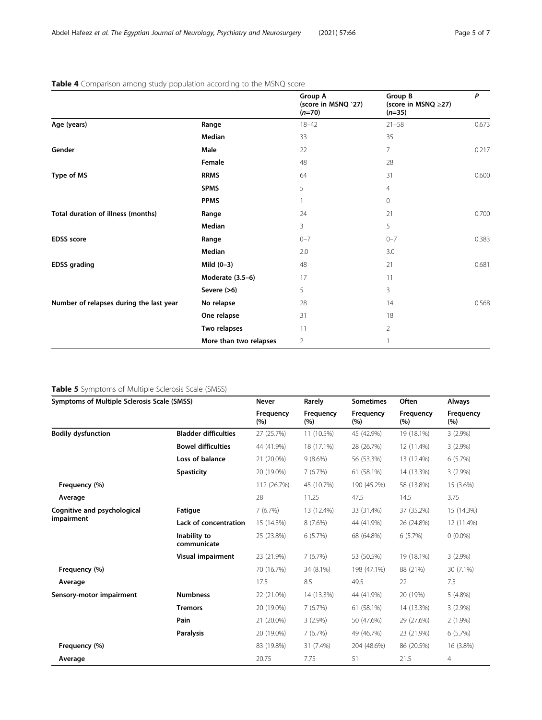|                                         |                        | Group A<br>(score in MSNQ '27)<br>$(n=70)$ | Group B<br>(score in MSNQ ≥27)<br>$(n=35)$ | P     |
|-----------------------------------------|------------------------|--------------------------------------------|--------------------------------------------|-------|
| Age (years)                             | Range                  | $18 - 42$                                  | $21 - 58$                                  | 0.673 |
|                                         | Median                 | 33                                         | 35                                         |       |
| Gender                                  | Male                   | 22                                         | 7                                          | 0.217 |
|                                         | Female                 | 48                                         | 28                                         |       |
| Type of MS                              | <b>RRMS</b>            | 64                                         | 31                                         | 0.600 |
|                                         | <b>SPMS</b>            | 5                                          | 4                                          |       |
|                                         | <b>PPMS</b>            | 1                                          | $\overline{0}$                             |       |
| Total duration of illness (months)      | Range                  | 24                                         | 21                                         | 0.700 |
|                                         | Median                 | 3                                          | 5                                          |       |
| <b>EDSS</b> score                       | Range                  | $0 - 7$                                    | $0 - 7$                                    | 0.383 |
|                                         | Median                 | 2.0                                        | 3.0                                        |       |
| <b>EDSS</b> grading                     | Mild $(0-3)$           | 48                                         | 21                                         | 0.681 |
|                                         | Moderate (3.5-6)       | 17                                         | 11                                         |       |
|                                         | Severe (>6)            | 5                                          | 3                                          |       |
| Number of relapses during the last year | No relapse             | 28                                         | 14                                         | 0.568 |
|                                         | One relapse            | 31                                         | 18                                         |       |
|                                         | Two relapses           | 11                                         | $\overline{2}$                             |       |
|                                         | More than two relapses | $\overline{2}$                             |                                            |       |

# <span id="page-4-0"></span>Table 4 Comparison among study population according to the MSNQ score

# Table 5 Symptoms of Multiple Sclerosis Scale (SMSS)

| Symptoms of Multiple Sclerosis Scale (SMSS) |                             | Never                   | Rarely           | <b>Sometimes</b> | Often            | <b>Always</b>    |
|---------------------------------------------|-----------------------------|-------------------------|------------------|------------------|------------------|------------------|
|                                             |                             | <b>Frequency</b><br>(%) | Frequency<br>(%) | Frequency<br>(%) | Frequency<br>(%) | Frequency<br>(%) |
| <b>Bodily dysfunction</b>                   | <b>Bladder difficulties</b> | 27 (25.7%)              | 11 (10.5%)       | 45 (42.9%)       | 19 (18.1%)       | $3(2.9\%)$       |
|                                             | <b>Bowel difficulties</b>   | 44 (41.9%)              | 18 (17.1%)       | 28 (26.7%)       | 12 (11.4%)       | $3(2.9\%)$       |
|                                             | Loss of balance             | 21 (20.0%)              | $9(8.6\%)$       | 56 (53.3%)       | 13 (12.4%)       | 6(5.7%)          |
|                                             | <b>Spasticity</b>           | 20 (19.0%)              | 7(6.7%)          | 61 (58.1%)       | 14 (13.3%)       | $3(2.9\%)$       |
| Frequency (%)                               |                             | 112 (26.7%)             | 45 (10.7%)       | 190 (45.2%)      | 58 (13.8%)       | 15 (3.6%)        |
| Average                                     |                             | 28                      | 11.25            | 47.5             | 14.5             | 3.75             |
| Cognitive and psychological                 | Fatigue                     | 7(6.7%)                 | 13 (12.4%)       | 33 (31.4%)       | 37 (35.2%)       | 15 (14.3%)       |
| impairment                                  | Lack of concentration       | 15 (14.3%)              | 8 (7.6%)         | 44 (41.9%)       | 26 (24.8%)       | 12 (11.4%)       |
|                                             | Inability to<br>communicate | 25 (23.8%)              | 6(5.7%)          | 68 (64.8%)       | 6(5.7%)          | $0(0.0\%)$       |
|                                             | Visual impairment           | 23 (21.9%)              | 7(6.7%)          | 53 (50.5%)       | 19 (18.1%)       | $3(2.9\%)$       |
| Frequency (%)                               |                             | 70 (16.7%)              | 34 (8.1%)        | 198 (47.1%)      | 88 (21%)         | 30 (7.1%)        |
| Average                                     |                             | 17.5                    | 8.5              | 49.5             | 22               | 7.5              |
| Sensory-motor impairment                    | <b>Numbness</b>             | 22 (21.0%)              | 14 (13.3%)       | 44 (41.9%)       | 20 (19%)         | $5(4.8\%)$       |
|                                             | <b>Tremors</b>              | 20 (19.0%)              | 7(6.7%)          | 61 (58.1%)       | 14 (13.3%)       | $3(2.9\%)$       |
|                                             | Pain                        | 21 (20.0%)              | $3(2.9\%)$       | 50 (47.6%)       | 29 (27.6%)       | $2(1.9\%)$       |
|                                             | <b>Paralysis</b>            | 20 (19.0%)              | 7(6.7%)          | 49 (46.7%)       | 23 (21.9%)       | 6(5.7%)          |
| Frequency (%)                               |                             | 83 (19.8%)              | 31 (7.4%)        | 204 (48.6%)      | 86 (20.5%)       | 16 (3.8%)        |
| Average                                     |                             | 20.75                   | 7.75             | 51               | 21.5             | 4                |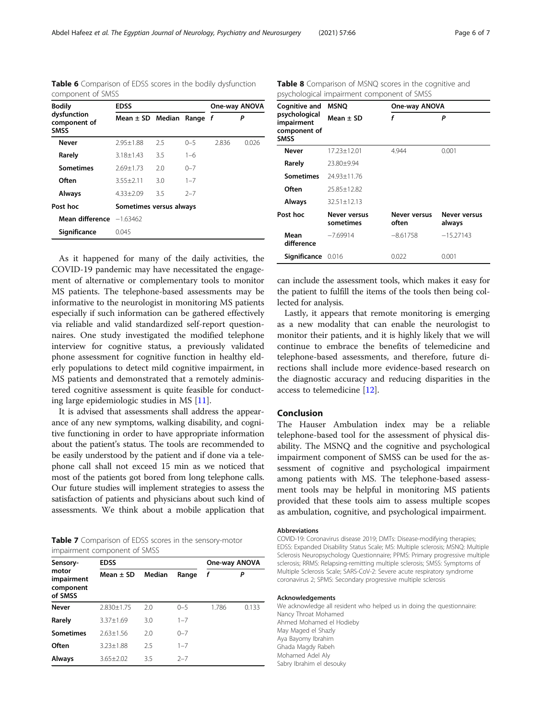<span id="page-5-0"></span>

|                   |  |  | Table 6 Comparison of EDSS scores in the bodily dysfunction |
|-------------------|--|--|-------------------------------------------------------------|
| component of SMSS |  |  |                                                             |

| <b>Bodily</b>                              | <b>EDSS</b>                  | One-way ANOVA |         |       |       |
|--------------------------------------------|------------------------------|---------------|---------|-------|-------|
| dysfunction<br>component of<br><b>SMSS</b> | Mean $\pm$ SD Median Range f |               |         |       | Ρ     |
| Never                                      | $2.95 \pm 1.88$              | 2.5           | $0 - 5$ | 2.836 | 0.026 |
| Rarely                                     | $3.18 + 1.43$                | 3.5           | $1 - 6$ |       |       |
| <b>Sometimes</b>                           | $2.69 + 1.73$                | 2.0           | $0 - 7$ |       |       |
| Often                                      | $3.55 + 2.11$                | 3.0           | $1 - 7$ |       |       |
| <b>Always</b>                              | $4.33 + 2.09$                | 3.5           | $2 - 7$ |       |       |
| Post hoc                                   | Sometimes versus always      |               |         |       |       |
| <b>Mean difference</b> $-1.63462$          |                              |               |         |       |       |
| Significance                               | 0.045                        |               |         |       |       |

As it happened for many of the daily activities, the COVID-19 pandemic may have necessitated the engagement of alternative or complementary tools to monitor MS patients. The telephone-based assessments may be informative to the neurologist in monitoring MS patients especially if such information can be gathered effectively via reliable and valid standardized self-report questionnaires. One study investigated the modified telephone interview for cognitive status, a previously validated phone assessment for cognitive function in healthy elderly populations to detect mild cognitive impairment, in MS patients and demonstrated that a remotely administered cognitive assessment is quite feasible for conducting large epidemiologic studies in MS [\[11\]](#page-6-0).

It is advised that assessments shall address the appearance of any new symptoms, walking disability, and cognitive functioning in order to have appropriate information about the patient's status. The tools are recommended to be easily understood by the patient and if done via a telephone call shall not exceed 15 min as we noticed that most of the patients got bored from long telephone calls. Our future studies will implement strategies to assess the satisfaction of patients and physicians about such kind of assessments. We think about a mobile application that

| Table 7 Comparison of EDSS scores in the sensory-motor |  |  |  |  |
|--------------------------------------------------------|--|--|--|--|
| impairment component of SMSS                           |  |  |  |  |

| Sensory-                                    | <b>UTIDAILITICHT COTTIDOTICHT OF SIVISS</b><br><b>EDSS</b> |        | One-way ANOVA |       |       |
|---------------------------------------------|------------------------------------------------------------|--------|---------------|-------|-------|
| motor<br>impairment<br>component<br>of SMSS | Mean $\pm$ SD                                              | Median | Range         | f     | P     |
| <b>Never</b>                                | $2.830 \pm 1.75$                                           | 2.0    | $0 - 5$       | 1.786 | 0.133 |
| Rarely                                      | $3.37 + 1.69$                                              | 3.0    | $1 - 7$       |       |       |
| <b>Sometimes</b>                            | $2.63 + 1.56$                                              | 2.0    | $0 - 7$       |       |       |
| Often                                       | $3.23 + 1.88$                                              | 2.5    | $1 - 7$       |       |       |
| Always                                      | $3.65 + 2.02$                                              | 3.5    | $2 - 7$       |       |       |

Table 8 Comparison of MSNQ scores in the cognitive and psychological impairment component of SMSS

| Cognitive and                                              | <b>MSNO</b>               |                              | One-way ANOVA          |  |  |  |
|------------------------------------------------------------|---------------------------|------------------------------|------------------------|--|--|--|
| psychological<br>impairment<br>component of<br><b>SMSS</b> | Mean $\pm$ SD             | f                            | P                      |  |  |  |
| <b>Never</b>                                               | 17.23±12.01               | 4.944                        | 0.001                  |  |  |  |
| Rarely                                                     | 23.80±9.94                |                              |                        |  |  |  |
| <b>Sometimes</b>                                           | $74.93 + 11.76$           |                              |                        |  |  |  |
| Often                                                      | 25.85+12.82               |                              |                        |  |  |  |
| Always                                                     | $32.51 \pm 12.13$         |                              |                        |  |  |  |
| Post hoc                                                   | Never versus<br>sometimes | <b>Never versus</b><br>often | Never versus<br>always |  |  |  |
| Mean<br>difference                                         | $-7.69914$                | $-8.61758$                   | $-15.27143$            |  |  |  |
| Significance                                               | 0.016                     | 0.022                        | 0.001                  |  |  |  |

can include the assessment tools, which makes it easy for the patient to fulfill the items of the tools then being collected for analysis.

Lastly, it appears that remote monitoring is emerging as a new modality that can enable the neurologist to monitor their patients, and it is highly likely that we will continue to embrace the benefits of telemedicine and telephone-based assessments, and therefore, future directions shall include more evidence-based research on the diagnostic accuracy and reducing disparities in the access to telemedicine [[12\]](#page-6-0).

# Conclusion

The Hauser Ambulation index may be a reliable telephone-based tool for the assessment of physical disability. The MSNQ and the cognitive and psychological impairment component of SMSS can be used for the assessment of cognitive and psychological impairment among patients with MS. The telephone-based assessment tools may be helpful in monitoring MS patients provided that these tools aim to assess multiple scopes as ambulation, cognitive, and psychological impairment.

#### Abbreviations

COVID-19: Coronavirus disease 2019; DMTs: Disease-modifying therapies; EDSS: Expanded Disability Status Scale; MS: Multiple sclerosis; MSNQ: Multiple Sclerosis Neuropsychology Questionnaire; PPMS: Primary progressive multiple sclerosis; RRMS: Relapsing-remitting multiple sclerosis; SMSS: Symptoms of Multiple Sclerosis Scale; SARS-CoV-2: Severe acute respiratory syndrome coronavirus 2; SPMS: Secondary progressive multiple sclerosis

#### Acknowledgements

We acknowledge all resident who helped us in doing the questionnaire: Nancy Throat Mohamed Ahmed Mohamed el Hodieby May Maged el Shazly Aya Bayomy Ibrahim Ghada Magdy Rabeh Mohamed Adel Aly Sabry Ibrahim el desouky